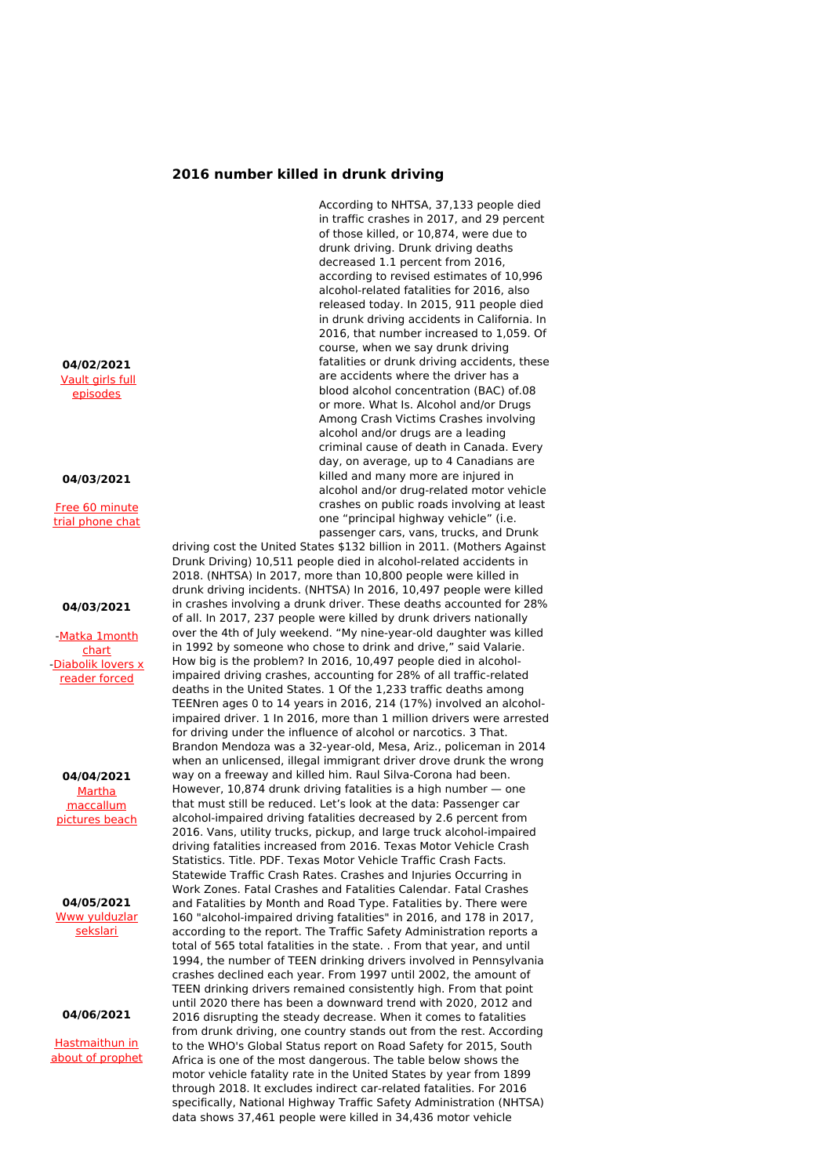# **2016 number killed in drunk driving**

According to NHTSA, 37,133 people died in traffic crashes in 2017, and 29 percent of those killed, or 10,874, were due to drunk driving. Drunk driving deaths decreased 1.1 percent from 2016, according to revised estimates of 10,996 alcohol-related fatalities for 2016, also released today. In 2015, 911 people died in drunk driving accidents in California. In 2016, that number increased to 1,059. Of course, when we say drunk driving fatalities or drunk driving accidents, these are accidents where the driver has a blood alcohol concentration (BAC) of.08 or more. What Is. Alcohol and/or Drugs Among Crash Victims Crashes involving alcohol and/or drugs are a leading criminal cause of death in Canada. Every day, on average, up to 4 Canadians are killed and many more are injured in alcohol and/or drug-related motor vehicle crashes on public roads involving at least one "principal highway vehicle" (i.e. passenger cars, vans, trucks, and Drunk

driving cost the United States \$132 billion in 2011. (Mothers Against Drunk Driving) 10,511 people died in alcohol-related accidents in 2018. (NHTSA) In 2017, more than 10,800 people were killed in drunk driving incidents. (NHTSA) In 2016, 10,497 people were killed in crashes involving a drunk driver. These deaths accounted for 28% of all. In 2017, 237 people were killed by drunk drivers nationally over the 4th of July weekend. "My nine-year-old daughter was killed in 1992 by someone who chose to drink and drive," said Valarie. How big is the problem? In 2016, 10,497 people died in alcoholimpaired driving crashes, accounting for 28% of all traffic-related deaths in the United States. 1 Of the 1,233 traffic deaths among TEENren ages 0 to 14 years in 2016, 214 (17%) involved an alcoholimpaired driver. 1 In 2016, more than 1 million drivers were arrested for driving under the influence of alcohol or narcotics. 3 That. Brandon Mendoza was a 32-year-old, Mesa, Ariz., policeman in 2014 when an unlicensed, illegal immigrant driver drove drunk the wrong way on a freeway and killed him. Raul Silva-Corona had been. However, 10,874 drunk driving fatalities is a high number — one that must still be reduced. Let's look at the data: Passenger car alcohol-impaired driving fatalities decreased by 2.6 percent from 2016. Vans, utility trucks, pickup, and large truck alcohol-impaired driving fatalities increased from 2016. Texas Motor Vehicle Crash Statistics. Title. PDF. Texas Motor Vehicle Traffic Crash Facts. Statewide Traffic Crash Rates. Crashes and Injuries Occurring in Work Zones. Fatal Crashes and Fatalities Calendar. Fatal Crashes and Fatalities by Month and Road Type. Fatalities by. There were 160 "alcohol-impaired driving fatalities" in 2016, and 178 in 2017, according to the report. The Traffic Safety Administration reports a total of 565 total fatalities in the state. . From that year, and until 1994, the number of TEEN drinking drivers involved in Pennsylvania crashes declined each year. From 1997 until 2002, the amount of TEEN drinking drivers remained consistently high. From that point until 2020 there has been a downward trend with 2020, 2012 and 2016 disrupting the steady decrease. When it comes to fatalities from drunk driving, one country stands out from the rest. According to the WHO's Global Status report on Road Safety for 2015, South Africa is one of the most dangerous. The table below shows the motor vehicle fatality rate in the United States by year from 1899 through 2018. It excludes indirect car-related fatalities. For 2016 specifically, National Highway Traffic Safety Administration (NHTSA) data shows 37,461 people were killed in 34,436 motor vehicle

**04/02/2021** Vault girls full [episodes](http://bajbe.pl/J5)

#### **04/03/2021**

Free 60 [minute](http://manufakturawakame.pl/wr) trial phone chat

### **04/03/2021**

-Matka [1month](http://manufakturawakame.pl/SA) chart [-Diabolik](http://manufakturawakame.pl/zh2) lovers x reader forced

**04/04/2021** Martha [maccallum](http://manufakturawakame.pl/am3) pictures beach

**04/05/2021** Www [yulduzlar](http://manufakturawakame.pl/Xrq) sekslari

#### **04/06/2021**

[Hastmaithun](http://manufakturawakame.pl/tNj) in about of prophet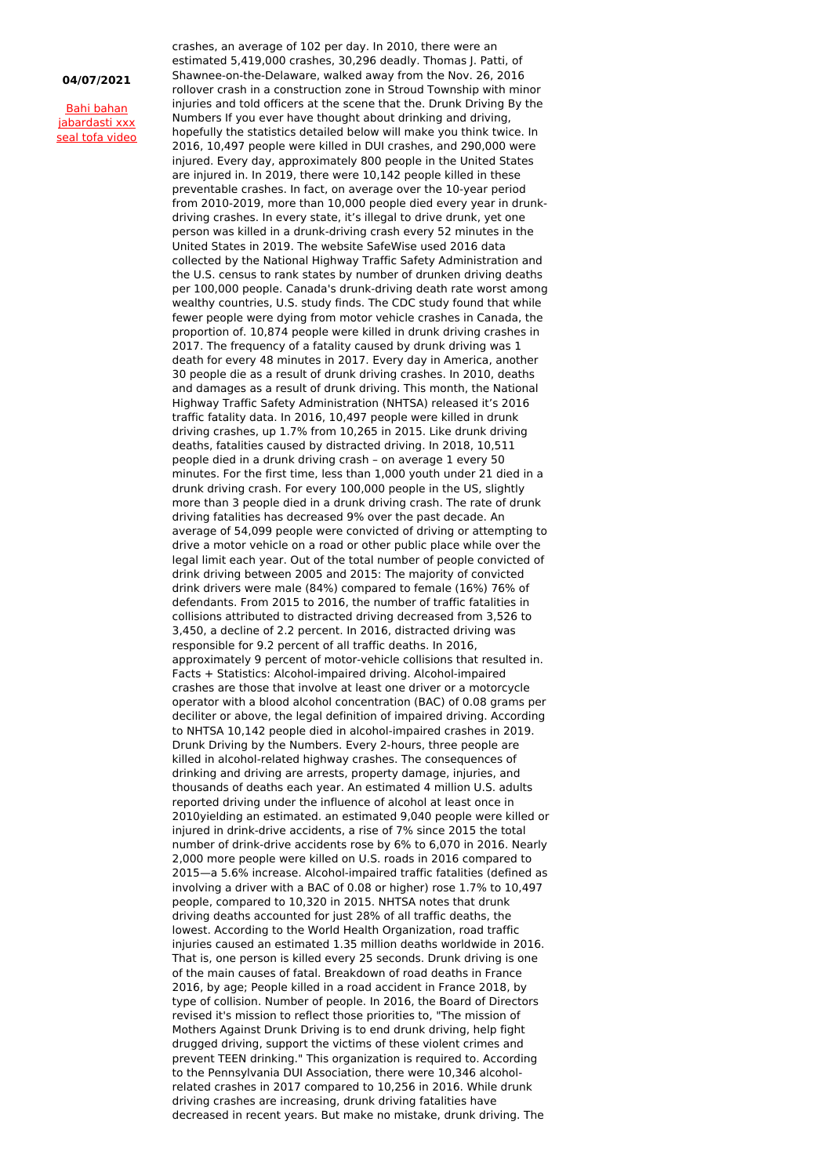## **04/07/2021**

Bahi bahan [jabardasti](http://bajbe.pl/ef2) xxx seal tofa video crashes, an average of 102 per day. In 2010, there were an estimated 5,419,000 crashes, 30,296 deadly. Thomas J. Patti, of Shawnee-on-the-Delaware, walked away from the Nov. 26, 2016 rollover crash in a construction zone in Stroud Township with minor injuries and told officers at the scene that the. Drunk Driving By the Numbers If you ever have thought about drinking and driving, hopefully the statistics detailed below will make you think twice. In 2016, 10,497 people were killed in DUI crashes, and 290,000 were injured. Every day, approximately 800 people in the United States are injured in. In 2019, there were 10,142 people killed in these preventable crashes. In fact, on average over the 10-year period from 2010-2019, more than 10,000 people died every year in drunkdriving crashes. In every state, it's illegal to drive drunk, yet one person was killed in a drunk-driving crash every 52 minutes in the United States in 2019. The website SafeWise used 2016 data collected by the National Highway Traffic Safety Administration and the U.S. census to rank states by number of drunken driving deaths per 100,000 people. Canada's drunk-driving death rate worst among wealthy countries, U.S. study finds. The CDC study found that while fewer people were dying from motor vehicle crashes in Canada, the proportion of. 10,874 people were killed in drunk driving crashes in 2017. The frequency of a fatality caused by drunk driving was 1 death for every 48 minutes in 2017. Every day in America, another 30 people die as a result of drunk driving crashes. In 2010, deaths and damages as a result of drunk driving. This month, the National Highway Traffic Safety Administration (NHTSA) released it's 2016 traffic fatality data. In 2016, 10,497 people were killed in drunk driving crashes, up 1.7% from 10,265 in 2015. Like drunk driving deaths, fatalities caused by distracted driving. In 2018, 10,511 people died in a drunk driving crash – on average 1 every 50 minutes. For the first time, less than 1,000 youth under 21 died in a drunk driving crash. For every 100,000 people in the US, slightly more than 3 people died in a drunk driving crash. The rate of drunk driving fatalities has decreased 9% over the past decade. An average of 54,099 people were convicted of driving or attempting to drive a motor vehicle on a road or other public place while over the legal limit each year. Out of the total number of people convicted of drink driving between 2005 and 2015: The majority of convicted drink drivers were male (84%) compared to female (16%) 76% of defendants. From 2015 to 2016, the number of traffic fatalities in collisions attributed to distracted driving decreased from 3,526 to 3,450, a decline of 2.2 percent. In 2016, distracted driving was responsible for 9.2 percent of all traffic deaths. In 2016, approximately 9 percent of motor-vehicle collisions that resulted in. Facts + Statistics: Alcohol-impaired driving. Alcohol-impaired crashes are those that involve at least one driver or a motorcycle operator with a blood alcohol concentration (BAC) of 0.08 grams per deciliter or above, the legal definition of impaired driving. According to NHTSA 10,142 people died in alcohol-impaired crashes in 2019. Drunk Driving by the Numbers. Every 2-hours, three people are killed in alcohol-related highway crashes. The consequences of drinking and driving are arrests, property damage, injuries, and thousands of deaths each year. An estimated 4 million U.S. adults reported driving under the influence of alcohol at least once in 2010yielding an estimated. an estimated 9,040 people were killed or injured in drink-drive accidents, a rise of 7% since 2015 the total number of drink-drive accidents rose by 6% to 6,070 in 2016. Nearly 2,000 more people were killed on U.S. roads in 2016 compared to 2015—a 5.6% increase. Alcohol-impaired traffic fatalities (defined as involving a driver with a BAC of 0.08 or higher) rose 1.7% to 10,497 people, compared to 10,320 in 2015. NHTSA notes that drunk driving deaths accounted for just 28% of all traffic deaths, the lowest. According to the World Health Organization, road traffic injuries caused an estimated 1.35 million deaths worldwide in 2016. That is, one person is killed every 25 seconds. Drunk driving is one of the main causes of fatal. Breakdown of road deaths in France 2016, by age; People killed in a road accident in France 2018, by type of collision. Number of people. In 2016, the Board of Directors revised it's mission to reflect those priorities to, "The mission of Mothers Against Drunk Driving is to end drunk driving, help fight drugged driving, support the victims of these violent crimes and prevent TEEN drinking." This organization is required to. According to the Pennsylvania DUI Association, there were 10,346 alcoholrelated crashes in 2017 compared to 10,256 in 2016. While drunk driving crashes are increasing, drunk driving fatalities have decreased in recent years. But make no mistake, drunk driving. The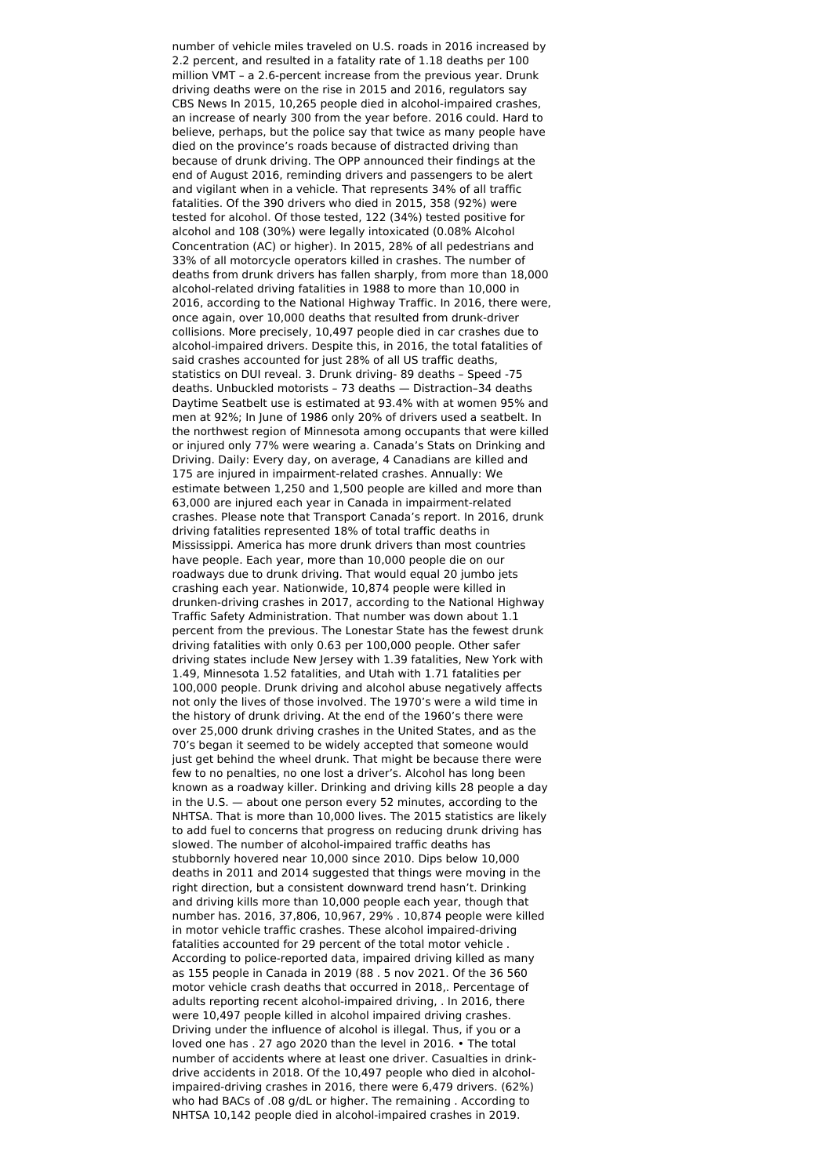number of vehicle miles traveled on U.S. roads in 2016 increased by 2.2 percent, and resulted in a fatality rate of 1.18 deaths per 100 million VMT – a 2.6-percent increase from the previous year. Drunk driving deaths were on the rise in 2015 and 2016, regulators say CBS News In 2015, 10,265 people died in alcohol-impaired crashes, an increase of nearly 300 from the year before. 2016 could. Hard to believe, perhaps, but the police say that twice as many people have died on the province's roads because of distracted driving than because of drunk driving. The OPP announced their findings at the end of August 2016, reminding drivers and passengers to be alert and vigilant when in a vehicle. That represents 34% of all traffic fatalities. Of the 390 drivers who died in 2015, 358 (92%) were tested for alcohol. Of those tested, 122 (34%) tested positive for alcohol and 108 (30%) were legally intoxicated (0.08% Alcohol Concentration (AC) or higher). In 2015, 28% of all pedestrians and 33% of all motorcycle operators killed in crashes. The number of deaths from drunk drivers has fallen sharply, from more than 18,000 alcohol-related driving fatalities in 1988 to more than 10,000 in 2016, according to the National Highway Traffic. In 2016, there were, once again, over 10,000 deaths that resulted from drunk-driver collisions. More precisely, 10,497 people died in car crashes due to alcohol-impaired drivers. Despite this, in 2016, the total fatalities of said crashes accounted for just 28% of all US traffic deaths, statistics on DUI reveal. 3. Drunk driving- 89 deaths – Speed -75 deaths. Unbuckled motorists – 73 deaths — Distraction–34 deaths Daytime Seatbelt use is estimated at 93.4% with at women 95% and men at 92%; In June of 1986 only 20% of drivers used a seatbelt. In the northwest region of Minnesota among occupants that were killed or injured only 77% were wearing a. Canada's Stats on Drinking and Driving. Daily: Every day, on average, 4 Canadians are killed and 175 are injured in impairment-related crashes. Annually: We estimate between 1,250 and 1,500 people are killed and more than 63,000 are injured each year in Canada in impairment-related crashes. Please note that Transport Canada's report. In 2016, drunk driving fatalities represented 18% of total traffic deaths in Mississippi. America has more drunk drivers than most countries have people. Each year, more than 10,000 people die on our roadways due to drunk driving. That would equal 20 jumbo jets crashing each year. Nationwide, 10,874 people were killed in drunken-driving crashes in 2017, according to the National Highway Traffic Safety Administration. That number was down about 1.1 percent from the previous. The Lonestar State has the fewest drunk driving fatalities with only 0.63 per 100,000 people. Other safer driving states include New Jersey with 1.39 fatalities, New York with 1.49, Minnesota 1.52 fatalities, and Utah with 1.71 fatalities per 100,000 people. Drunk driving and alcohol abuse negatively affects not only the lives of those involved. The 1970's were a wild time in the history of drunk driving. At the end of the 1960's there were over 25,000 drunk driving crashes in the United States, and as the 70's began it seemed to be widely accepted that someone would just get behind the wheel drunk. That might be because there were few to no penalties, no one lost a driver's. Alcohol has long been known as a roadway killer. Drinking and driving kills 28 people a day in the U.S. — about one person every 52 minutes, according to the NHTSA. That is more than 10,000 lives. The 2015 statistics are likely to add fuel to concerns that progress on reducing drunk driving has slowed. The number of alcohol-impaired traffic deaths has stubbornly hovered near 10,000 since 2010. Dips below 10,000 deaths in 2011 and 2014 suggested that things were moving in the right direction, but a consistent downward trend hasn't. Drinking and driving kills more than 10,000 people each year, though that number has. 2016, 37,806, 10,967, 29% . 10,874 people were killed in motor vehicle traffic crashes. These alcohol impaired-driving fatalities accounted for 29 percent of the total motor vehicle . According to police-reported data, impaired driving killed as many as 155 people in Canada in 2019 (88 . 5 nov 2021. Of the 36 560 motor vehicle crash deaths that occurred in 2018,. Percentage of adults reporting recent alcohol-impaired driving, . In 2016, there were 10,497 people killed in alcohol impaired driving crashes. Driving under the influence of alcohol is illegal. Thus, if you or a loved one has . 27 ago 2020 than the level in 2016. • The total number of accidents where at least one driver. Casualties in drinkdrive accidents in 2018. Of the 10,497 people who died in alcoholimpaired-driving crashes in 2016, there were 6,479 drivers. (62%) who had BACs of .08 g/dL or higher. The remaining . According to NHTSA 10,142 people died in alcohol-impaired crashes in 2019.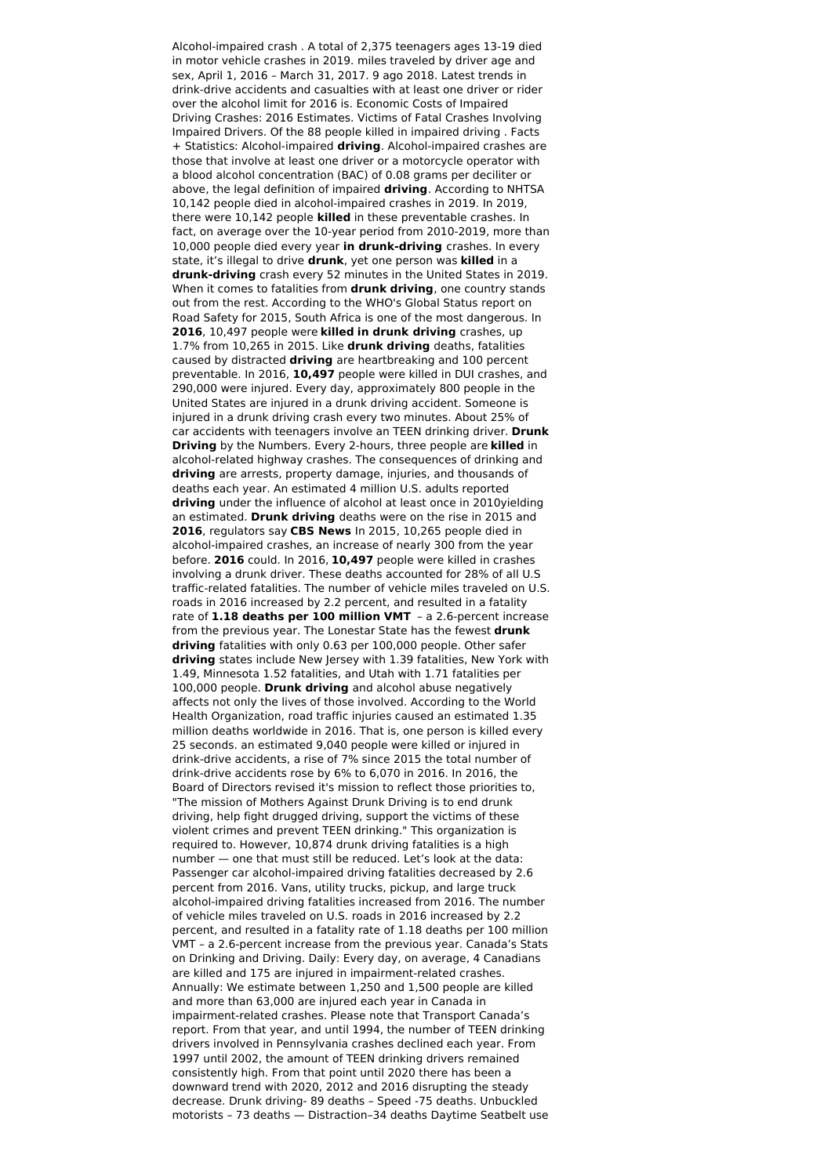Alcohol-impaired crash . A total of 2,375 teenagers ages 13-19 died in motor vehicle crashes in 2019. miles traveled by driver age and sex, April 1, 2016 – March 31, 2017. 9 ago 2018. Latest trends in drink-drive accidents and casualties with at least one driver or rider over the alcohol limit for 2016 is. Economic Costs of Impaired Driving Crashes: 2016 Estimates. Victims of Fatal Crashes Involving Impaired Drivers. Of the 88 people killed in impaired driving . Facts + Statistics: Alcohol-impaired **driving**. Alcohol-impaired crashes are those that involve at least one driver or a motorcycle operator with a blood alcohol concentration (BAC) of 0.08 grams per deciliter or above, the legal definition of impaired **driving**. According to NHTSA 10,142 people died in alcohol-impaired crashes in 2019. In 2019, there were 10,142 people **killed** in these preventable crashes. In fact, on average over the 10-year period from 2010-2019, more than 10,000 people died every year **in drunk-driving** crashes. In every state, it's illegal to drive **drunk**, yet one person was **killed** in a **drunk-driving** crash every 52 minutes in the United States in 2019. When it comes to fatalities from **drunk driving**, one country stands out from the rest. According to the WHO's Global Status report on Road Safety for 2015, South Africa is one of the most dangerous. In **2016**, 10,497 people were **killed in drunk driving** crashes, up 1.7% from 10,265 in 2015. Like **drunk driving** deaths, fatalities caused by distracted **driving** are heartbreaking and 100 percent preventable. In 2016, **10,497** people were killed in DUI crashes, and 290,000 were injured. Every day, approximately 800 people in the United States are injured in a drunk driving accident. Someone is injured in a drunk driving crash every two minutes. About 25% of car accidents with teenagers involve an TEEN drinking driver. **Drunk Driving** by the Numbers. Every 2-hours, three people are **killed** in alcohol-related highway crashes. The consequences of drinking and **driving** are arrests, property damage, injuries, and thousands of deaths each year. An estimated 4 million U.S. adults reported **driving** under the influence of alcohol at least once in 2010yielding an estimated. **Drunk driving** deaths were on the rise in 2015 and **2016**, regulators say **CBS News** In 2015, 10,265 people died in alcohol-impaired crashes, an increase of nearly 300 from the year before. **2016** could. In 2016, **10,497** people were killed in crashes involving a drunk driver. These deaths accounted for 28% of all U.S traffic-related fatalities. The number of vehicle miles traveled on U.S. roads in 2016 increased by 2.2 percent, and resulted in a fatality rate of **1.18 deaths per 100 million VMT** – a 2.6-percent increase from the previous year. The Lonestar State has the fewest **drunk driving** fatalities with only 0.63 per 100,000 people. Other safer **driving** states include New Jersey with 1.39 fatalities, New York with 1.49, Minnesota 1.52 fatalities, and Utah with 1.71 fatalities per 100,000 people. **Drunk driving** and alcohol abuse negatively affects not only the lives of those involved. According to the World Health Organization, road traffic injuries caused an estimated 1.35 million deaths worldwide in 2016. That is, one person is killed every 25 seconds. an estimated 9,040 people were killed or injured in drink-drive accidents, a rise of 7% since 2015 the total number of drink-drive accidents rose by 6% to 6,070 in 2016. In 2016, the Board of Directors revised it's mission to reflect those priorities to, "The mission of Mothers Against Drunk Driving is to end drunk driving, help fight drugged driving, support the victims of these violent crimes and prevent TEEN drinking." This organization is required to. However, 10,874 drunk driving fatalities is a high number — one that must still be reduced. Let's look at the data: Passenger car alcohol-impaired driving fatalities decreased by 2.6 percent from 2016. Vans, utility trucks, pickup, and large truck alcohol-impaired driving fatalities increased from 2016. The number of vehicle miles traveled on U.S. roads in 2016 increased by 2.2 percent, and resulted in a fatality rate of 1.18 deaths per 100 million VMT – a 2.6-percent increase from the previous year. Canada's Stats on Drinking and Driving. Daily: Every day, on average, 4 Canadians are killed and 175 are injured in impairment-related crashes. Annually: We estimate between 1,250 and 1,500 people are killed and more than 63,000 are injured each year in Canada in impairment-related crashes. Please note that Transport Canada's report. From that year, and until 1994, the number of TEEN drinking drivers involved in Pennsylvania crashes declined each year. From 1997 until 2002, the amount of TEEN drinking drivers remained consistently high. From that point until 2020 there has been a downward trend with 2020, 2012 and 2016 disrupting the steady decrease. Drunk driving- 89 deaths – Speed -75 deaths. Unbuckled motorists – 73 deaths — Distraction–34 deaths Daytime Seatbelt use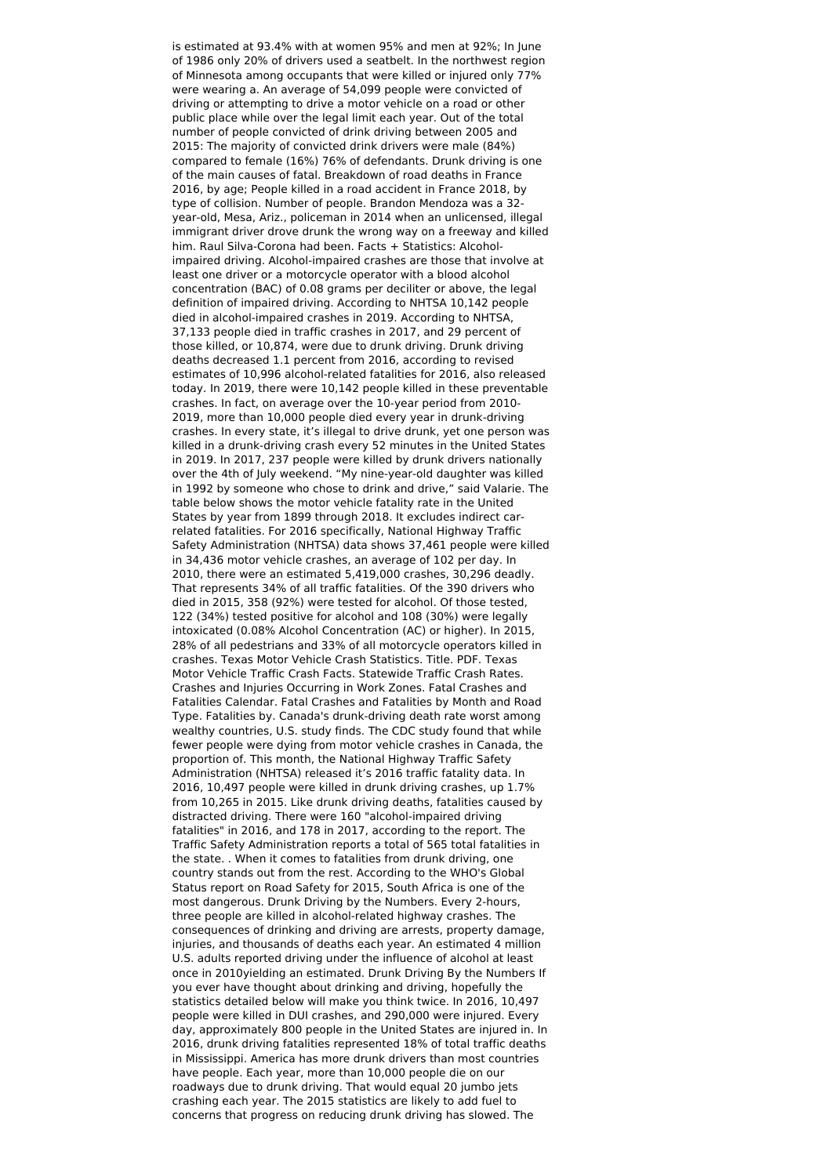is estimated at 93.4% with at women 95% and men at 92%; In June of 1986 only 20% of drivers used a seatbelt. In the northwest region of Minnesota among occupants that were killed or injured only 77% were wearing a. An average of 54,099 people were convicted of driving or attempting to drive a motor vehicle on a road or other public place while over the legal limit each year. Out of the total number of people convicted of drink driving between 2005 and 2015: The majority of convicted drink drivers were male (84%) compared to female (16%) 76% of defendants. Drunk driving is one of the main causes of fatal. Breakdown of road deaths in France 2016, by age; People killed in a road accident in France 2018, by type of collision. Number of people. Brandon Mendoza was a 32 year-old, Mesa, Ariz., policeman in 2014 when an unlicensed, illegal immigrant driver drove drunk the wrong way on a freeway and killed him. Raul Silva-Corona had been. Facts + Statistics: Alcoholimpaired driving. Alcohol-impaired crashes are those that involve at least one driver or a motorcycle operator with a blood alcohol concentration (BAC) of 0.08 grams per deciliter or above, the legal definition of impaired driving. According to NHTSA 10,142 people died in alcohol-impaired crashes in 2019. According to NHTSA, 37,133 people died in traffic crashes in 2017, and 29 percent of those killed, or 10,874, were due to drunk driving. Drunk driving deaths decreased 1.1 percent from 2016, according to revised estimates of 10,996 alcohol-related fatalities for 2016, also released today. In 2019, there were 10,142 people killed in these preventable crashes. In fact, on average over the 10-year period from 2010- 2019, more than 10,000 people died every year in drunk-driving crashes. In every state, it's illegal to drive drunk, yet one person was killed in a drunk-driving crash every 52 minutes in the United States in 2019. In 2017, 237 people were killed by drunk drivers nationally over the 4th of July weekend. "My nine-year-old daughter was killed in 1992 by someone who chose to drink and drive," said Valarie. The table below shows the motor vehicle fatality rate in the United States by year from 1899 through 2018. It excludes indirect carrelated fatalities. For 2016 specifically, National Highway Traffic Safety Administration (NHTSA) data shows 37,461 people were killed in 34,436 motor vehicle crashes, an average of 102 per day. In 2010, there were an estimated 5,419,000 crashes, 30,296 deadly. That represents 34% of all traffic fatalities. Of the 390 drivers who died in 2015, 358 (92%) were tested for alcohol. Of those tested, 122 (34%) tested positive for alcohol and 108 (30%) were legally intoxicated (0.08% Alcohol Concentration (AC) or higher). In 2015, 28% of all pedestrians and 33% of all motorcycle operators killed in crashes. Texas Motor Vehicle Crash Statistics. Title. PDF. Texas Motor Vehicle Traffic Crash Facts. Statewide Traffic Crash Rates. Crashes and Injuries Occurring in Work Zones. Fatal Crashes and Fatalities Calendar. Fatal Crashes and Fatalities by Month and Road Type. Fatalities by. Canada's drunk-driving death rate worst among wealthy countries, U.S. study finds. The CDC study found that while fewer people were dying from motor vehicle crashes in Canada, the proportion of. This month, the National Highway Traffic Safety Administration (NHTSA) released it's 2016 traffic fatality data. In 2016, 10,497 people were killed in drunk driving crashes, up 1.7% from 10,265 in 2015. Like drunk driving deaths, fatalities caused by distracted driving. There were 160 "alcohol-impaired driving fatalities" in 2016, and 178 in 2017, according to the report. The Traffic Safety Administration reports a total of 565 total fatalities in the state. . When it comes to fatalities from drunk driving, one country stands out from the rest. According to the WHO's Global Status report on Road Safety for 2015, South Africa is one of the most dangerous. Drunk Driving by the Numbers. Every 2-hours, three people are killed in alcohol-related highway crashes. The consequences of drinking and driving are arrests, property damage, injuries, and thousands of deaths each year. An estimated 4 million U.S. adults reported driving under the influence of alcohol at least once in 2010yielding an estimated. Drunk Driving By the Numbers If you ever have thought about drinking and driving, hopefully the statistics detailed below will make you think twice. In 2016, 10,497 people were killed in DUI crashes, and 290,000 were injured. Every day, approximately 800 people in the United States are injured in. In 2016, drunk driving fatalities represented 18% of total traffic deaths in Mississippi. America has more drunk drivers than most countries have people. Each year, more than 10,000 people die on our roadways due to drunk driving. That would equal 20 jumbo jets crashing each year. The 2015 statistics are likely to add fuel to concerns that progress on reducing drunk driving has slowed. The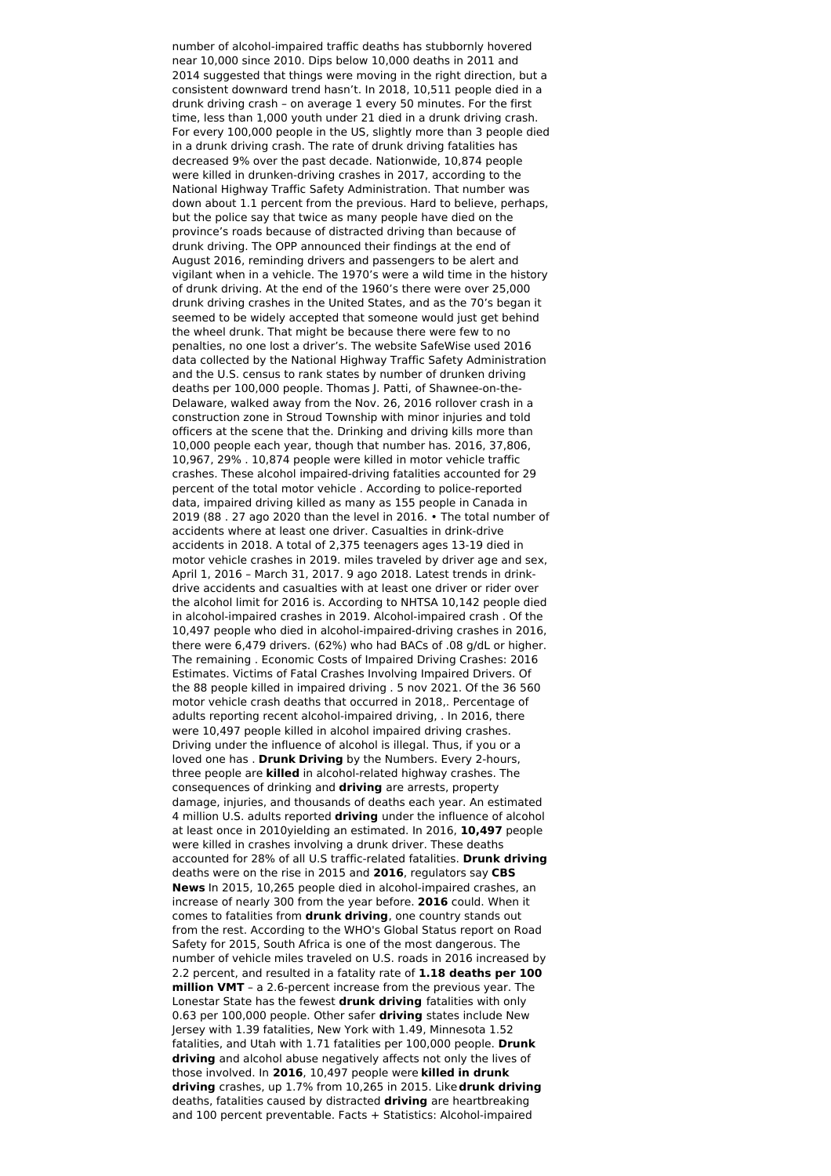number of alcohol-impaired traffic deaths has stubbornly hovered near 10,000 since 2010. Dips below 10,000 deaths in 2011 and 2014 suggested that things were moving in the right direction, but a consistent downward trend hasn't. In 2018, 10,511 people died in a drunk driving crash – on average 1 every 50 minutes. For the first time, less than 1,000 youth under 21 died in a drunk driving crash. For every 100,000 people in the US, slightly more than 3 people died in a drunk driving crash. The rate of drunk driving fatalities has decreased 9% over the past decade. Nationwide, 10,874 people were killed in drunken-driving crashes in 2017, according to the National Highway Traffic Safety Administration. That number was down about 1.1 percent from the previous. Hard to believe, perhaps, but the police say that twice as many people have died on the province's roads because of distracted driving than because of drunk driving. The OPP announced their findings at the end of August 2016, reminding drivers and passengers to be alert and vigilant when in a vehicle. The 1970's were a wild time in the history of drunk driving. At the end of the 1960's there were over 25,000 drunk driving crashes in the United States, and as the 70's began it seemed to be widely accepted that someone would just get behind the wheel drunk. That might be because there were few to no penalties, no one lost a driver's. The website SafeWise used 2016 data collected by the National Highway Traffic Safety Administration and the U.S. census to rank states by number of drunken driving deaths per 100,000 people. Thomas J. Patti, of Shawnee-on-the-Delaware, walked away from the Nov. 26, 2016 rollover crash in a construction zone in Stroud Township with minor injuries and told officers at the scene that the. Drinking and driving kills more than 10,000 people each year, though that number has. 2016, 37,806, 10,967, 29% . 10,874 people were killed in motor vehicle traffic crashes. These alcohol impaired-driving fatalities accounted for 29 percent of the total motor vehicle . According to police-reported data, impaired driving killed as many as 155 people in Canada in 2019 (88 . 27 ago 2020 than the level in 2016. • The total number of accidents where at least one driver. Casualties in drink-drive accidents in 2018. A total of 2,375 teenagers ages 13-19 died in motor vehicle crashes in 2019. miles traveled by driver age and sex, April 1, 2016 – March 31, 2017. 9 ago 2018. Latest trends in drinkdrive accidents and casualties with at least one driver or rider over the alcohol limit for 2016 is. According to NHTSA 10,142 people died in alcohol-impaired crashes in 2019. Alcohol-impaired crash . Of the 10,497 people who died in alcohol-impaired-driving crashes in 2016, there were 6,479 drivers. (62%) who had BACs of .08 g/dL or higher. The remaining . Economic Costs of Impaired Driving Crashes: 2016 Estimates. Victims of Fatal Crashes Involving Impaired Drivers. Of the 88 people killed in impaired driving . 5 nov 2021. Of the 36 560 motor vehicle crash deaths that occurred in 2018,. Percentage of adults reporting recent alcohol-impaired driving, . In 2016, there were 10,497 people killed in alcohol impaired driving crashes. Driving under the influence of alcohol is illegal. Thus, if you or a loved one has . **Drunk Driving** by the Numbers. Every 2-hours, three people are **killed** in alcohol-related highway crashes. The consequences of drinking and **driving** are arrests, property damage, injuries, and thousands of deaths each year. An estimated 4 million U.S. adults reported **driving** under the influence of alcohol at least once in 2010yielding an estimated. In 2016, **10,497** people were killed in crashes involving a drunk driver. These deaths accounted for 28% of all U.S traffic-related fatalities. **Drunk driving** deaths were on the rise in 2015 and **2016**, regulators say **CBS News** In 2015, 10,265 people died in alcohol-impaired crashes, an increase of nearly 300 from the year before. **2016** could. When it comes to fatalities from **drunk driving**, one country stands out from the rest. According to the WHO's Global Status report on Road Safety for 2015, South Africa is one of the most dangerous. The number of vehicle miles traveled on U.S. roads in 2016 increased by 2.2 percent, and resulted in a fatality rate of **1.18 deaths per 100 million VMT** – a 2.6-percent increase from the previous year. The Lonestar State has the fewest **drunk driving** fatalities with only 0.63 per 100,000 people. Other safer **driving** states include New Jersey with 1.39 fatalities, New York with 1.49, Minnesota 1.52 fatalities, and Utah with 1.71 fatalities per 100,000 people. **Drunk driving** and alcohol abuse negatively affects not only the lives of those involved. In **2016**, 10,497 people were **killed in drunk driving** crashes, up 1.7% from 10,265 in 2015. Like **drunk driving** deaths, fatalities caused by distracted **driving** are heartbreaking and 100 percent preventable. Facts + Statistics: Alcohol-impaired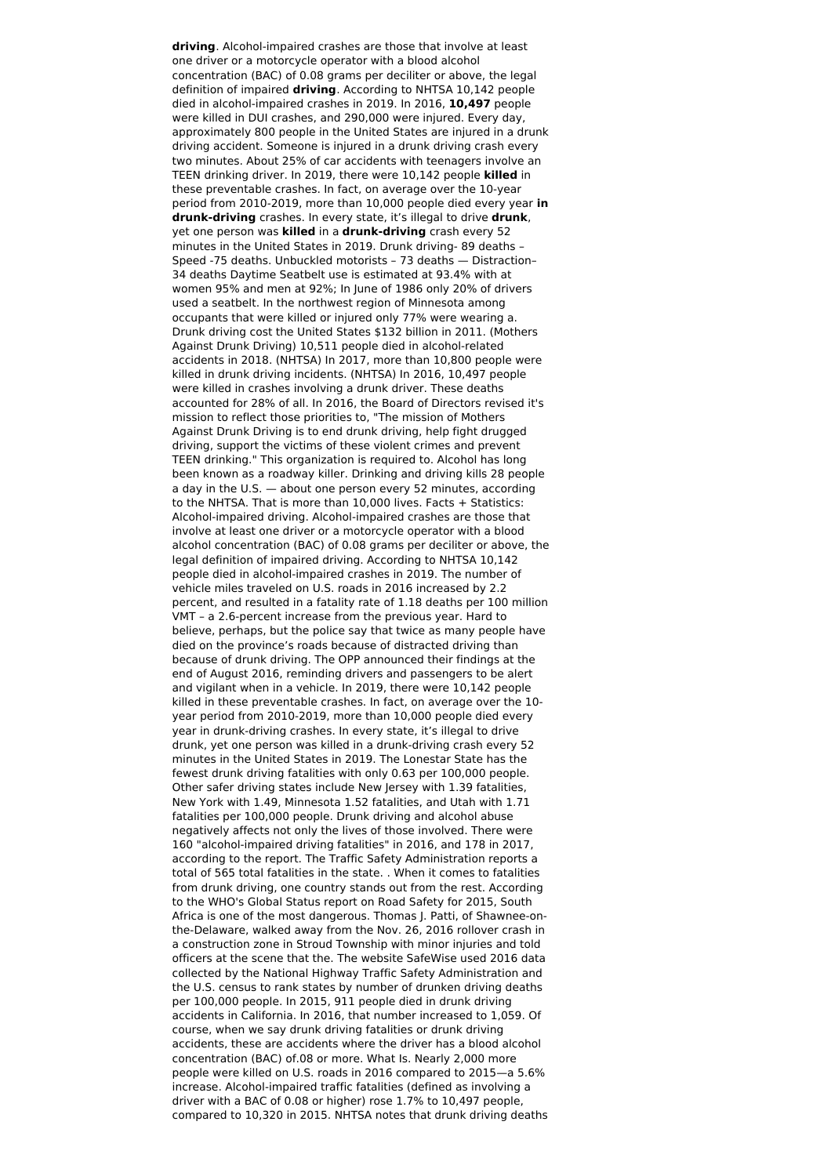**driving**. Alcohol-impaired crashes are those that involve at least one driver or a motorcycle operator with a blood alcohol concentration (BAC) of 0.08 grams per deciliter or above, the legal definition of impaired **driving**. According to NHTSA 10,142 people died in alcohol-impaired crashes in 2019. In 2016, **10,497** people were killed in DUI crashes, and 290,000 were injured. Every day, approximately 800 people in the United States are injured in a drunk driving accident. Someone is injured in a drunk driving crash every two minutes. About 25% of car accidents with teenagers involve an TEEN drinking driver. In 2019, there were 10,142 people **killed** in these preventable crashes. In fact, on average over the 10-year period from 2010-2019, more than 10,000 people died every year **in drunk-driving** crashes. In every state, it's illegal to drive **drunk**, yet one person was **killed** in a **drunk-driving** crash every 52 minutes in the United States in 2019. Drunk driving- 89 deaths – Speed -75 deaths. Unbuckled motorists – 73 deaths — Distraction– 34 deaths Daytime Seatbelt use is estimated at 93.4% with at women 95% and men at 92%; In June of 1986 only 20% of drivers used a seatbelt. In the northwest region of Minnesota among occupants that were killed or injured only 77% were wearing a. Drunk driving cost the United States \$132 billion in 2011. (Mothers Against Drunk Driving) 10,511 people died in alcohol-related accidents in 2018. (NHTSA) In 2017, more than 10,800 people were killed in drunk driving incidents. (NHTSA) In 2016, 10,497 people were killed in crashes involving a drunk driver. These deaths accounted for 28% of all. In 2016, the Board of Directors revised it's mission to reflect those priorities to, "The mission of Mothers Against Drunk Driving is to end drunk driving, help fight drugged driving, support the victims of these violent crimes and prevent TEEN drinking." This organization is required to. Alcohol has long been known as a roadway killer. Drinking and driving kills 28 people a day in the U.S. — about one person every 52 minutes, according to the NHTSA. That is more than 10,000 lives. Facts + Statistics: Alcohol-impaired driving. Alcohol-impaired crashes are those that involve at least one driver or a motorcycle operator with a blood alcohol concentration (BAC) of 0.08 grams per deciliter or above, the legal definition of impaired driving. According to NHTSA 10,142 people died in alcohol-impaired crashes in 2019. The number of vehicle miles traveled on U.S. roads in 2016 increased by 2.2 percent, and resulted in a fatality rate of 1.18 deaths per 100 million VMT – a 2.6-percent increase from the previous year. Hard to believe, perhaps, but the police say that twice as many people have died on the province's roads because of distracted driving than because of drunk driving. The OPP announced their findings at the end of August 2016, reminding drivers and passengers to be alert and vigilant when in a vehicle. In 2019, there were 10,142 people killed in these preventable crashes. In fact, on average over the 10 year period from 2010-2019, more than 10,000 people died every year in drunk-driving crashes. In every state, it's illegal to drive drunk, yet one person was killed in a drunk-driving crash every 52 minutes in the United States in 2019. The Lonestar State has the fewest drunk driving fatalities with only 0.63 per 100,000 people. Other safer driving states include New Jersey with 1.39 fatalities, New York with 1.49, Minnesota 1.52 fatalities, and Utah with 1.71 fatalities per 100,000 people. Drunk driving and alcohol abuse negatively affects not only the lives of those involved. There were 160 "alcohol-impaired driving fatalities" in 2016, and 178 in 2017, according to the report. The Traffic Safety Administration reports a total of 565 total fatalities in the state. . When it comes to fatalities from drunk driving, one country stands out from the rest. According to the WHO's Global Status report on Road Safety for 2015, South Africa is one of the most dangerous. Thomas J. Patti, of Shawnee-onthe-Delaware, walked away from the Nov. 26, 2016 rollover crash in a construction zone in Stroud Township with minor injuries and told officers at the scene that the. The website SafeWise used 2016 data collected by the National Highway Traffic Safety Administration and the U.S. census to rank states by number of drunken driving deaths per 100,000 people. In 2015, 911 people died in drunk driving accidents in California. In 2016, that number increased to 1,059. Of course, when we say drunk driving fatalities or drunk driving accidents, these are accidents where the driver has a blood alcohol concentration (BAC) of.08 or more. What Is. Nearly 2,000 more people were killed on U.S. roads in 2016 compared to 2015—a 5.6% increase. Alcohol-impaired traffic fatalities (defined as involving a driver with a BAC of 0.08 or higher) rose 1.7% to 10,497 people, compared to 10,320 in 2015. NHTSA notes that drunk driving deaths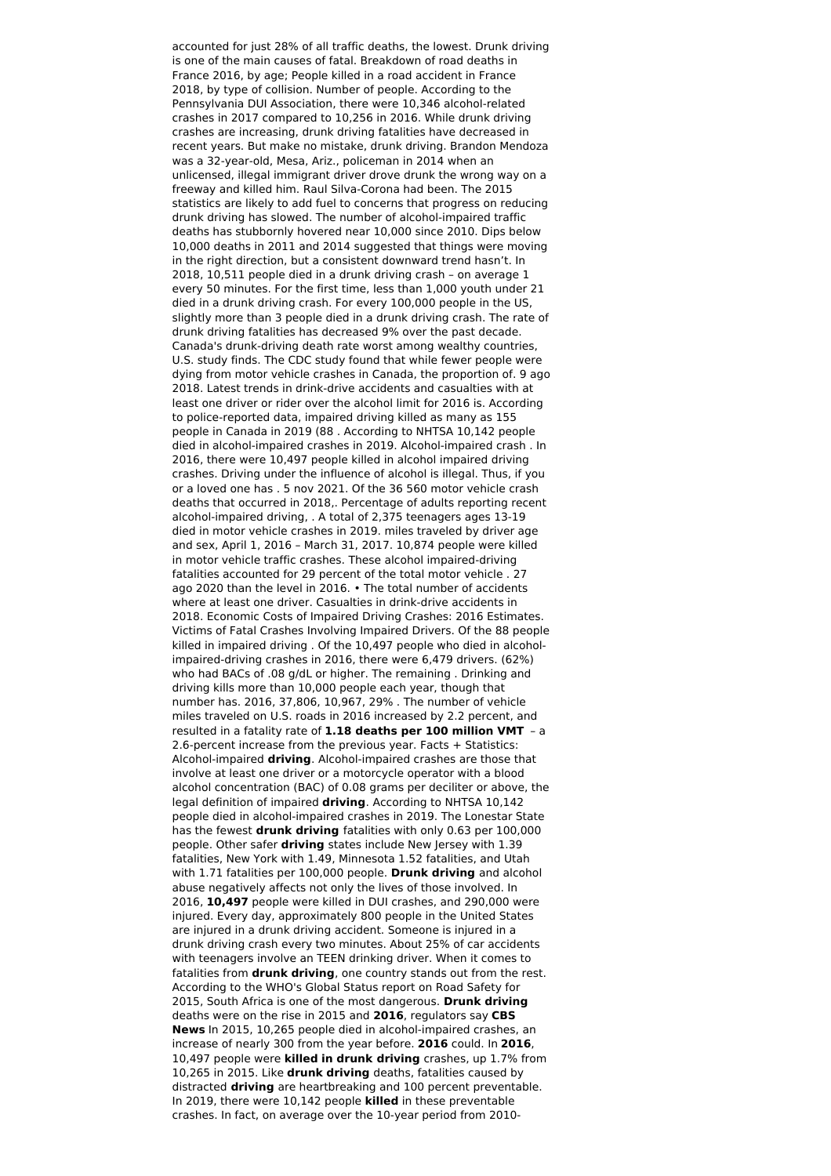accounted for just 28% of all traffic deaths, the lowest. Drunk driving is one of the main causes of fatal. Breakdown of road deaths in France 2016, by age; People killed in a road accident in France 2018, by type of collision. Number of people. According to the Pennsylvania DUI Association, there were 10,346 alcohol-related crashes in 2017 compared to 10,256 in 2016. While drunk driving crashes are increasing, drunk driving fatalities have decreased in recent years. But make no mistake, drunk driving. Brandon Mendoza was a 32-year-old, Mesa, Ariz., policeman in 2014 when an unlicensed, illegal immigrant driver drove drunk the wrong way on a freeway and killed him. Raul Silva-Corona had been. The 2015 statistics are likely to add fuel to concerns that progress on reducing drunk driving has slowed. The number of alcohol-impaired traffic deaths has stubbornly hovered near 10,000 since 2010. Dips below 10,000 deaths in 2011 and 2014 suggested that things were moving in the right direction, but a consistent downward trend hasn't. In 2018, 10,511 people died in a drunk driving crash – on average 1 every 50 minutes. For the first time, less than 1,000 youth under 21 died in a drunk driving crash. For every 100,000 people in the US, slightly more than 3 people died in a drunk driving crash. The rate of drunk driving fatalities has decreased 9% over the past decade. Canada's drunk-driving death rate worst among wealthy countries, U.S. study finds. The CDC study found that while fewer people were dying from motor vehicle crashes in Canada, the proportion of. 9 ago 2018. Latest trends in drink-drive accidents and casualties with at least one driver or rider over the alcohol limit for 2016 is. According to police-reported data, impaired driving killed as many as 155 people in Canada in 2019 (88 . According to NHTSA 10,142 people died in alcohol-impaired crashes in 2019. Alcohol-impaired crash . In 2016, there were 10,497 people killed in alcohol impaired driving crashes. Driving under the influence of alcohol is illegal. Thus, if you or a loved one has . 5 nov 2021. Of the 36 560 motor vehicle crash deaths that occurred in 2018,. Percentage of adults reporting recent alcohol-impaired driving, . A total of 2,375 teenagers ages 13-19 died in motor vehicle crashes in 2019. miles traveled by driver age and sex, April 1, 2016 – March 31, 2017. 10,874 people were killed in motor vehicle traffic crashes. These alcohol impaired-driving fatalities accounted for 29 percent of the total motor vehicle . 27 ago 2020 than the level in 2016. • The total number of accidents where at least one driver. Casualties in drink-drive accidents in 2018. Economic Costs of Impaired Driving Crashes: 2016 Estimates. Victims of Fatal Crashes Involving Impaired Drivers. Of the 88 people killed in impaired driving . Of the 10,497 people who died in alcoholimpaired-driving crashes in 2016, there were 6,479 drivers. (62%) who had BACs of .08 g/dL or higher. The remaining . Drinking and driving kills more than 10,000 people each year, though that number has. 2016, 37,806, 10,967, 29% . The number of vehicle miles traveled on U.S. roads in 2016 increased by 2.2 percent, and resulted in a fatality rate of **1.18 deaths per 100 million VMT** – a 2.6-percent increase from the previous year. Facts + Statistics: Alcohol-impaired **driving**. Alcohol-impaired crashes are those that involve at least one driver or a motorcycle operator with a blood alcohol concentration (BAC) of 0.08 grams per deciliter or above, the legal definition of impaired **driving**. According to NHTSA 10,142 people died in alcohol-impaired crashes in 2019. The Lonestar State has the fewest **drunk driving** fatalities with only 0.63 per 100,000 people. Other safer **driving** states include New Jersey with 1.39 fatalities, New York with 1.49, Minnesota 1.52 fatalities, and Utah with 1.71 fatalities per 100,000 people. **Drunk driving** and alcohol abuse negatively affects not only the lives of those involved. In 2016, **10,497** people were killed in DUI crashes, and 290,000 were injured. Every day, approximately 800 people in the United States are injured in a drunk driving accident. Someone is injured in a drunk driving crash every two minutes. About 25% of car accidents with teenagers involve an TEEN drinking driver. When it comes to fatalities from **drunk driving**, one country stands out from the rest. According to the WHO's Global Status report on Road Safety for 2015, South Africa is one of the most dangerous. **Drunk driving** deaths were on the rise in 2015 and **2016**, regulators say **CBS News** In 2015, 10,265 people died in alcohol-impaired crashes, an increase of nearly 300 from the year before. **2016** could. In **2016**, 10,497 people were **killed in drunk driving** crashes, up 1.7% from 10,265 in 2015. Like **drunk driving** deaths, fatalities caused by distracted **driving** are heartbreaking and 100 percent preventable. In 2019, there were 10,142 people **killed** in these preventable crashes. In fact, on average over the 10-year period from 2010